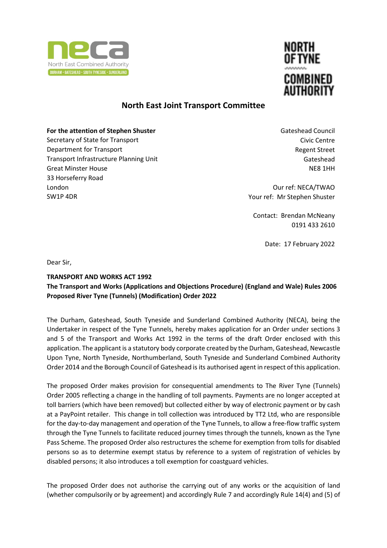



## **North East Joint Transport Committee**

## **For the attention of Stephen Shuster**

Secretary of State for Transport Department for Transport Transport Infrastructure Planning Unit Great Minster House 33 Horseferry Road London SW1P 4DR

Gateshead Council Civic Centre Regent Street Gateshead NE8 1HH

Our ref: NECA/TWAO Your ref: Mr Stephen Shuster

Contact: Brendan McNeany 0191 433 2610

Date: 17 February 2022

Dear Sir,

## **TRANSPORT AND WORKS ACT 1992**

## **The Transport and Works (Applications and Objections Procedure) (England and Wale) Rules 2006 Proposed River Tyne (Tunnels) (Modification) Order 2022**

The Durham, Gateshead, South Tyneside and Sunderland Combined Authority (NECA), being the Undertaker in respect of the Tyne Tunnels, hereby makes application for an Order under sections 3 and 5 of the Transport and Works Act 1992 in the terms of the draft Order enclosed with this application. The applicant is a statutory body corporate created by the Durham, Gateshead, Newcastle Upon Tyne, North Tyneside, Northumberland, South Tyneside and Sunderland Combined Authority Order 2014 and the Borough Council of Gateshead is its authorised agent in respect of this application.

The proposed Order makes provision for consequential amendments to The River Tyne (Tunnels) Order 2005 reflecting a change in the handling of toll payments. Payments are no longer accepted at toll barriers (which have been removed) but collected either by way of electronic payment or by cash at a PayPoint retailer. This change in toll collection was introduced by TT2 Ltd, who are responsible for the day-to-day management and operation of the Tyne Tunnels, to allow a free-flow traffic system through the Tyne Tunnels to facilitate reduced journey times through the tunnels, known as the Tyne Pass Scheme. The proposed Order also restructures the scheme for exemption from tolls for disabled persons so as to determine exempt status by reference to a system of registration of vehicles by disabled persons; it also introduces a toll exemption for coastguard vehicles.

The proposed Order does not authorise the carrying out of any works or the acquisition of land (whether compulsorily or by agreement) and accordingly Rule 7 and accordingly Rule 14(4) and (5) of